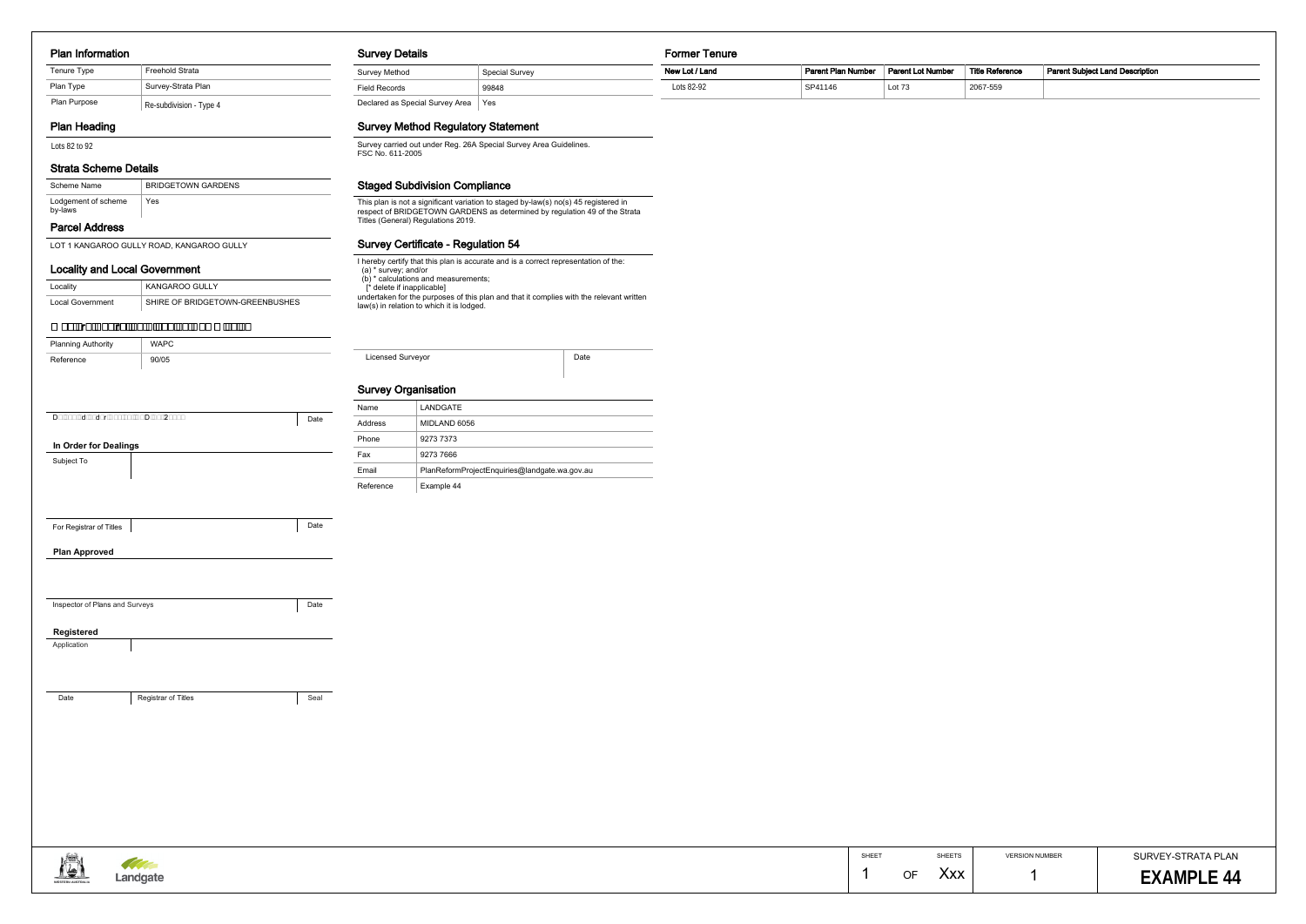#### Plan Information

# Plan Heading

## Strata Scheme Details

# Parcel Address

| Scheme Name                    | <b>BRIDGETOWN GARDENS</b> |
|--------------------------------|---------------------------|
| Lodgement of scheme<br>by-laws | Yes                       |

#### Locality and Local Government

| Locality                | KANGAROO GULLY                  |  |  |  |  |
|-------------------------|---------------------------------|--|--|--|--|
| <b>Local Government</b> | SHIRE OF BRIDGETOWN-GREENBUSHES |  |  |  |  |

#### Survey Details

Field Records 99848

Declared as Special Survey Area Yes

# Survey Method Regulatory Statement

Survey Method Special Survey

#### Former Tenure

# Survey Certificate - Regulation 54

#### Staged Subdivision Compliance

| Plan Purpose<br>Re-subdivision - Type 4<br><b>Plan Heading</b><br>Lots 82 to 92   |                                           |      | Declared as Special Survey Area   Yes                                                                                                                                                                                                                                                                                                                                  |                                                                                                                                                                                                      |      |  |    |       |        |                       |                    |
|-----------------------------------------------------------------------------------|-------------------------------------------|------|------------------------------------------------------------------------------------------------------------------------------------------------------------------------------------------------------------------------------------------------------------------------------------------------------------------------------------------------------------------------|------------------------------------------------------------------------------------------------------------------------------------------------------------------------------------------------------|------|--|----|-------|--------|-----------------------|--------------------|
|                                                                                   |                                           |      | <b>Survey Method Regulatory Statement</b>                                                                                                                                                                                                                                                                                                                              |                                                                                                                                                                                                      |      |  |    |       |        |                       |                    |
|                                                                                   |                                           |      | FSC No. 611-2005                                                                                                                                                                                                                                                                                                                                                       | Survey carried out under Reg. 26A Special Survey Area Guidelines.                                                                                                                                    |      |  |    |       |        |                       |                    |
| <b>Strata Scheme Details</b>                                                      |                                           |      |                                                                                                                                                                                                                                                                                                                                                                        |                                                                                                                                                                                                      |      |  |    |       |        |                       |                    |
| <b>BRIDGETOWN GARDENS</b><br>Scheme Name<br>Lodgement of scheme<br>Yes<br>by-laws |                                           |      |                                                                                                                                                                                                                                                                                                                                                                        | <b>Staged Subdivision Compliance</b>                                                                                                                                                                 |      |  |    |       |        |                       |                    |
|                                                                                   |                                           |      |                                                                                                                                                                                                                                                                                                                                                                        | This plan is not a significant variation to staged by-law(s) no(s) 45 registered in respect of BRIDGETOWN GARDENS as determined by regulation 49 of the Strata<br>Titles (General) Regulations 2019. |      |  |    |       |        |                       |                    |
| <b>Parcel Address</b>                                                             |                                           |      |                                                                                                                                                                                                                                                                                                                                                                        |                                                                                                                                                                                                      |      |  |    |       |        |                       |                    |
|                                                                                   | LOT 1 KANGAROO GULLY ROAD, KANGAROO GULLY |      | <b>Survey Certificate - Regulation 54</b><br>I hereby certify that this plan is accurate and is a correct representation of the:<br>(a) * survey; and/or<br>(b) * calculations and measurements;<br>[* delete if inapplicable]<br>undertaken for the purposes of this plan and that it complies with the relevant written<br>law(s) in relation to which it is lodged. |                                                                                                                                                                                                      |      |  |    |       |        |                       |                    |
| <b>Locality and Local Government</b>                                              |                                           |      |                                                                                                                                                                                                                                                                                                                                                                        |                                                                                                                                                                                                      |      |  |    |       |        |                       |                    |
| Locality                                                                          | KANGAROO GULLY                            |      |                                                                                                                                                                                                                                                                                                                                                                        |                                                                                                                                                                                                      |      |  |    |       |        |                       |                    |
| <b>Local Government</b>                                                           | SHIRE OF BRIDGETOWN-GREENBUSHES           |      |                                                                                                                                                                                                                                                                                                                                                                        |                                                                                                                                                                                                      |      |  |    |       |        |                       |                    |
|                                                                                   | Western Australian Planning Commission    |      |                                                                                                                                                                                                                                                                                                                                                                        |                                                                                                                                                                                                      |      |  |    |       |        |                       |                    |
| <b>Planning Authority</b>                                                         | <b>WAPC</b>                               |      |                                                                                                                                                                                                                                                                                                                                                                        |                                                                                                                                                                                                      |      |  |    |       |        |                       |                    |
| Reference                                                                         | 90/05                                     |      | Licensed Surveyor                                                                                                                                                                                                                                                                                                                                                      |                                                                                                                                                                                                      | Date |  |    |       |        |                       |                    |
|                                                                                   |                                           |      | <b>Survey Organisation</b>                                                                                                                                                                                                                                                                                                                                             |                                                                                                                                                                                                      |      |  |    |       |        |                       |                    |
|                                                                                   |                                           |      | Name                                                                                                                                                                                                                                                                                                                                                                   | LANDGATE                                                                                                                                                                                             |      |  |    |       |        |                       |                    |
| Delegated under Sec 16. P&D Act 2005.                                             |                                           | Date | Address                                                                                                                                                                                                                                                                                                                                                                | MIDLAND 6056                                                                                                                                                                                         |      |  |    |       |        |                       |                    |
| In Order for Dealings                                                             |                                           |      | Phone                                                                                                                                                                                                                                                                                                                                                                  | 9273 7373                                                                                                                                                                                            |      |  |    |       |        |                       |                    |
| Subject To                                                                        |                                           |      | Fax                                                                                                                                                                                                                                                                                                                                                                    | 9273 7666                                                                                                                                                                                            |      |  |    |       |        |                       |                    |
|                                                                                   |                                           |      | Email                                                                                                                                                                                                                                                                                                                                                                  | PlanReformProjectEnquiries@landgate.wa.gov.au                                                                                                                                                        |      |  |    |       |        |                       |                    |
|                                                                                   |                                           |      | Reference                                                                                                                                                                                                                                                                                                                                                              | Example 44                                                                                                                                                                                           |      |  |    |       |        |                       |                    |
|                                                                                   |                                           |      |                                                                                                                                                                                                                                                                                                                                                                        |                                                                                                                                                                                                      |      |  |    |       |        |                       |                    |
| For Registrar of Titles                                                           |                                           | Date |                                                                                                                                                                                                                                                                                                                                                                        |                                                                                                                                                                                                      |      |  |    |       |        |                       |                    |
| <b>Plan Approved</b>                                                              |                                           |      |                                                                                                                                                                                                                                                                                                                                                                        |                                                                                                                                                                                                      |      |  |    |       |        |                       |                    |
|                                                                                   |                                           |      |                                                                                                                                                                                                                                                                                                                                                                        |                                                                                                                                                                                                      |      |  |    |       |        |                       |                    |
|                                                                                   |                                           |      |                                                                                                                                                                                                                                                                                                                                                                        |                                                                                                                                                                                                      |      |  |    |       |        |                       |                    |
| Inspector of Plans and Surveys                                                    |                                           | Date |                                                                                                                                                                                                                                                                                                                                                                        |                                                                                                                                                                                                      |      |  |    |       |        |                       |                    |
|                                                                                   |                                           |      |                                                                                                                                                                                                                                                                                                                                                                        |                                                                                                                                                                                                      |      |  |    |       |        |                       |                    |
| Registered                                                                        |                                           |      |                                                                                                                                                                                                                                                                                                                                                                        |                                                                                                                                                                                                      |      |  |    |       |        |                       |                    |
| Application                                                                       |                                           |      |                                                                                                                                                                                                                                                                                                                                                                        |                                                                                                                                                                                                      |      |  |    |       |        |                       |                    |
|                                                                                   |                                           |      |                                                                                                                                                                                                                                                                                                                                                                        |                                                                                                                                                                                                      |      |  |    |       |        |                       |                    |
|                                                                                   |                                           |      |                                                                                                                                                                                                                                                                                                                                                                        |                                                                                                                                                                                                      |      |  |    |       |        |                       |                    |
| Date                                                                              | Registrar of Titles                       | Seal |                                                                                                                                                                                                                                                                                                                                                                        |                                                                                                                                                                                                      |      |  |    |       |        |                       |                    |
|                                                                                   |                                           |      |                                                                                                                                                                                                                                                                                                                                                                        |                                                                                                                                                                                                      |      |  |    |       |        |                       |                    |
|                                                                                   |                                           |      |                                                                                                                                                                                                                                                                                                                                                                        |                                                                                                                                                                                                      |      |  |    |       |        |                       |                    |
|                                                                                   |                                           |      |                                                                                                                                                                                                                                                                                                                                                                        |                                                                                                                                                                                                      |      |  |    |       |        |                       |                    |
|                                                                                   |                                           |      |                                                                                                                                                                                                                                                                                                                                                                        |                                                                                                                                                                                                      |      |  |    |       |        |                       |                    |
|                                                                                   |                                           |      |                                                                                                                                                                                                                                                                                                                                                                        |                                                                                                                                                                                                      |      |  |    |       |        |                       |                    |
|                                                                                   |                                           |      |                                                                                                                                                                                                                                                                                                                                                                        |                                                                                                                                                                                                      |      |  |    |       |        |                       |                    |
|                                                                                   |                                           |      |                                                                                                                                                                                                                                                                                                                                                                        |                                                                                                                                                                                                      |      |  |    |       |        |                       |                    |
|                                                                                   |                                           |      |                                                                                                                                                                                                                                                                                                                                                                        |                                                                                                                                                                                                      |      |  |    | SHEET | SHEETS | <b>VERSION NUMBER</b> | SURVEY-STRATA PLAN |
| VESTERN AUSTRALIA                                                                 | Landgate                                  |      |                                                                                                                                                                                                                                                                                                                                                                        |                                                                                                                                                                                                      |      |  | -1 | OF    | Xxx    |                       | <b>EXAMPLE 44</b>  |
|                                                                                   |                                           |      |                                                                                                                                                                                                                                                                                                                                                                        |                                                                                                                                                                                                      |      |  |    |       |        |                       |                    |

| <b>Tenure Type</b> | Freehold Strata         |
|--------------------|-------------------------|
| Plan Type          | Survey-Strata Plan      |
| Plan Purpose       | Re-subdivision - Type 4 |

| Name      | LANDGATE                                      |
|-----------|-----------------------------------------------|
| Address   | MIDLAND 6056                                  |
| Phone     | 9273 7373                                     |
| Fax       | 9273 7666                                     |
| Email     | PlanReformProjectEnquiries@landgate.wa.gov.au |
| Reference | Example 44                                    |

| New Lot / Land | <b>Parent Plan Number</b> | <b>Parent Lot Number</b> | <b>Title Reference</b> | <b>Parent Subiect Land Description</b> |
|----------------|---------------------------|--------------------------|------------------------|----------------------------------------|
| Lots 82-92     | SP41146                   | Lot 73                   | 2067-559               |                                        |

#### Western Australian Planning Commission